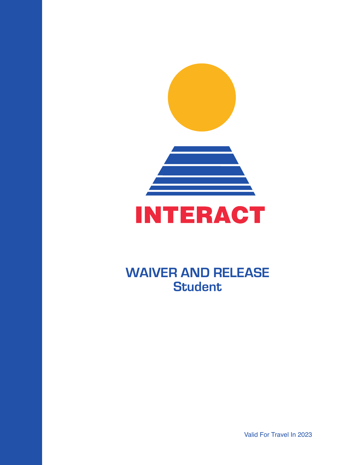

# **WAIVER AND RELEASE Student**

Valid For Travel In 2023